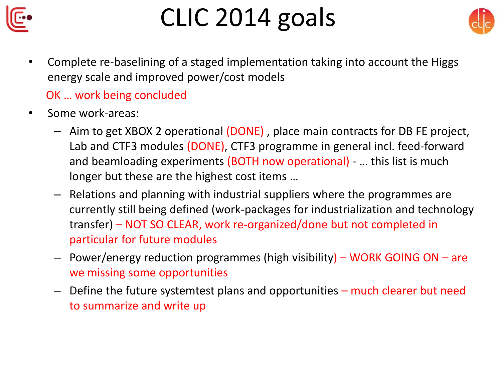

## CLIC 2014 goals



• Complete re-baselining of a staged implementation taking into account the Higgs energy scale and improved power/cost models

## OK … work being concluded

- Some work-areas:
	- Aim to get XBOX 2 operational (DONE) , place main contracts for DB FE project, Lab and CTF3 modules (DONE), CTF3 programme in general incl. feed-forward and beamloading experiments (BOTH now operational) - … this list is much longer but these are the highest cost items …
	- Relations and planning with industrial suppliers where the programmes are currently still being defined (work-packages for industrialization and technology transfer) – NOT SO CLEAR, work re-organized/done but not completed in particular for future modules
	- Power/energy reduction programmes (high visibility) WORK GOING ON are we missing some opportunities
	- Define the future systemtest plans and opportunities much clearer but need to summarize and write up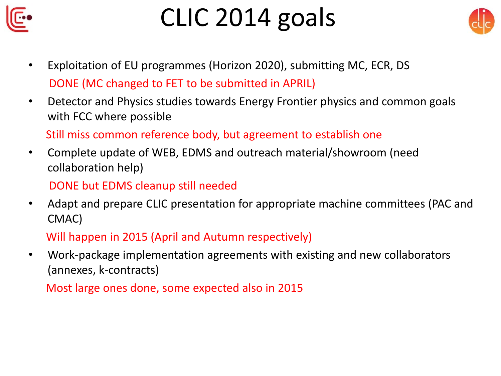

## CLIC 2014 goals



- Exploitation of EU programmes (Horizon 2020), submitting MC, ECR, DS DONE (MC changed to FET to be submitted in APRIL)
- Detector and Physics studies towards Energy Frontier physics and common goals with FCC where possible

Still miss common reference body, but agreement to establish one

• Complete update of WEB, EDMS and outreach material/showroom (need collaboration help)

DONE but EDMS cleanup still needed

• Adapt and prepare CLIC presentation for appropriate machine committees (PAC and CMAC)

Will happen in 2015 (April and Autumn respectively)

• Work-package implementation agreements with existing and new collaborators (annexes, k-contracts)

Most large ones done, some expected also in 2015